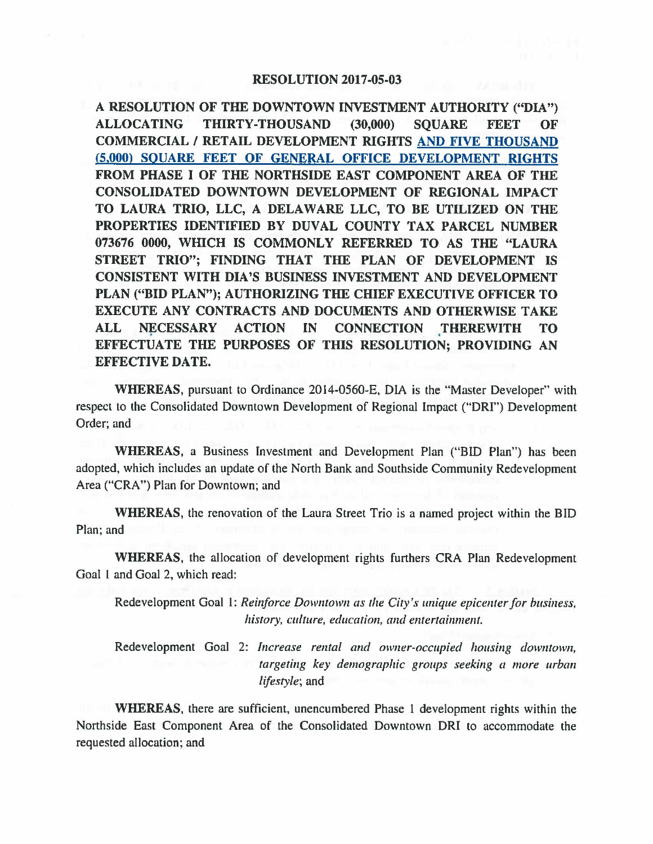## **RESOLUTION 2017-05-03**

**A RESOLUTION OF THE DOWNTOWN INVESTMENT AUTHORITY ("DIA") ALLOCATING THIRTY-THOUSAND (30,000) SQUARE FEET OF COMMERCIAL** / **RETAIL DEVELOPMENT RIGHTS AND FIVE THOUSAND (5,000) SQUARE FEET OF GENERAL OFFICE DEVELOPMENT RIGHTS FROM PHASE** I **OF THE NORTHSIDE EAST COMPONENT AREA OF THE CONSOLIDATED DOWNTOWN DEVELOPMENT OF REGIONAL IMPACT TO LAURA TRIO, LLC, A DELAWARE LLC, TO BE UTILIZED ON THE PROPERTIES IDENTIFIED BY DUVAL COUNTY TAX PARCEL NUMBER 073676 0000, wmcH IS COMMONLY REFERRED TO AS THE "LAURA STREET TRIO"; FINDING THAT THE PLAN OF DEVELOPMENT IS CONSISTENT WITH DIA'S BUSINESS INVESTMENT AND DEVELOPMENT PLAN ("BID PLAN"); AUTHORIZING THE CHIEF EXECUTIVE OFFICER TO EXECUTE ANY CONTRACTS AND DOCUMENTS AND OTHERWISE TAKE**  ALL NECESSARY ACTION IN CONNECTION THEREWITH TO **EFFECTUATE THE PURPOSES OF THIS RESOLUTION; PROVIDING AN EFFECTIVE DATE.** 

**WHEREAS,** pursuant to Ordinance 2014-0560-E, DIA is the "Master Developer" with respect to the Consolidated Downtown Development of Regional Impact **("ORI")** Development Order; and

**WHEREAS,** a Business Investment and Development Plan ("BID Plan") has been adopted, which includes an update of the North Bank and Southside Community Redevelopment Area ("CRA") Plan for Downtown; and

**WHEREAS,** the renovation of the Laura Street Trio is a named project within the BID Plan; and

**WHEREAS,** the allocation of development rights furthers CRA Plan Redevelopment Goal l and Goal 2, which read:

Redevelopment Goal 1: *Reinforce Downtown as the City's unique epicenter for business,*  history, culture, education, and entertainment.

Redevelopment Goal 2: *Increase rental and owner-occupied housing downtown*, *targeting key demographic groups seeking a more urban lifestyle;* and

**WHEREAS,** there are sufficient, unencumbered Phase I development rights within the Northside East Component Area of the Consolidated Downtown DRI to accommodate the requested allocation; and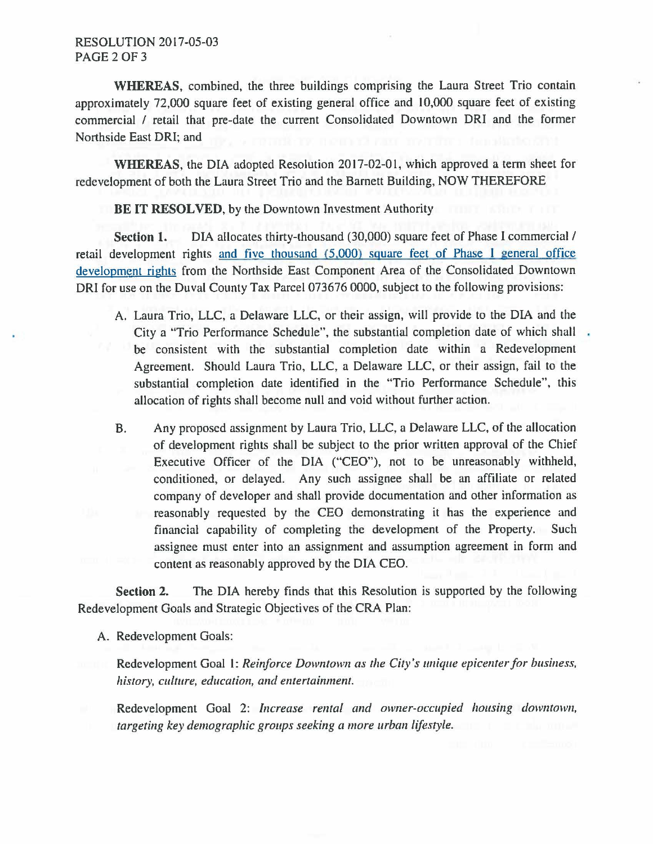**WHEREAS,** combined, the three buildings comprising the Laura Street Trio contain approximately 72,000 square feet of existing general office and 10,000 square feet of existing commercial / retail that pre-date the current Consolidated Downtown ORI and the former Northside East ORI; and

**WHEREAS,** the DIA adopted Resolution 2017-02-01, which approved a term sheet for redevelopment of both the Laura Street Trio and the Barnett Building, NOW THEREFORE

## BE IT **RESOLVED,** by the Downtown Investment Authority

**Section 1.** DIA allocates thirty-thousand (30,000) square feet of Phase I commercial/ retail development rights and five thousand (5.000) square feet\_of Phase I general office development rights from the Northside East Component Area of the Consolidated Downtown DRI for use on the Duval County Tax Parcel 073676 0000, subject to the following provisions:

- A. Laura Trio, LLC, a Delaware LLC, or their assign, will provide to the DIA and the City a "Trio Performance Schedule", the substantial completion date of which shall . be consistent with the substantial completion date within a Redevelopment Agreement. Should Laura Trio, LLC, a Delaware LLC, or their assign, fail to the substantial completion date identified in the "Trio Performance Schedule", this allocation of rights shall become null and void without further action.
- B. Any proposed assignment by Laura Trio, LLC, a Delaware LLC, of the allocation of development rights shall be subject to the prior written approval of the Chief Executive Officer of the DIA ("CEO"), not to be unreasonably withheld, conditioned, or delayed. Any such assignee shall be an affiliate or related company of developer and shall provide documentation and other information as reasonably requested by the CEO demonstrating it has the experience and financial capability of completing the development of the Property. Such assignee must enter into an assignment and assumption agreement in form and content as reasonably approved by the DIA CEO.

**Section 2.** The DIA hereby finds that this Resolution is supported by the following Redevelopment Goals and Strategic Objectives of the CRA Plan:

## A. Redevelopment Goals:

Redevelopment Goal 1: *Reinforce Downtown as the City's unique epicenter for business, history, culture, education, and entertainment.* 

Redevelopment Goal 2: *Increase rental and owner-occupied housing downtown, targeting key demographic groups seeking a more urban lifestyle.*